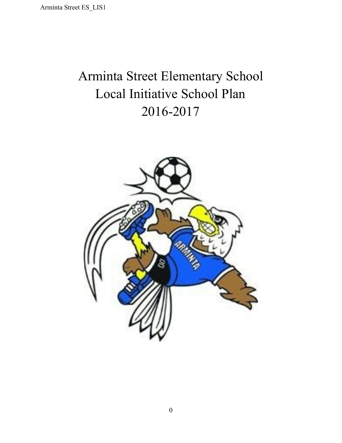### Arminta Street Elementary School Local Initiative School Plan 20162017

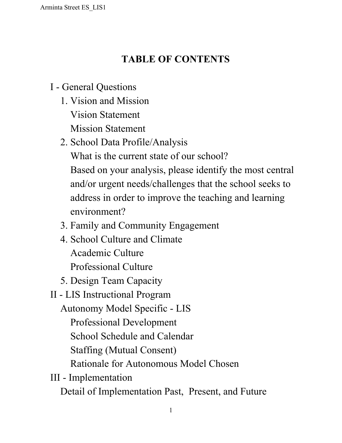### **TABLE OF CONTENTS**

### I - General [Questions](#page-2-0)

- 1. Vision and [Mission](#page-3-0) Vision [Statement](#page-3-1) Mission [Statement](#page-4-0)
- 2. School Data [Profile/Analysis](#page-4-1) What is the current state of our [school?](#page-4-2) Based on your analysis, please identify the most central and/or urgent needs/challenges that the school seeks to address in order to improve the teaching and learning environment?
- 3. Family and Community [Engagement](#page-10-0)
- 4. School Culture and [Climate](#page-11-0) [Academic](#page-11-1) Culture [Professional](#page-12-0) Culture
- 5. Design Team [Capacity](#page-12-1)
- II LIS [Instructional](#page-15-0) Program

[Autonomy](#page-16-0) Model Specific LIS

Professional Development

School Schedule and Calendar

Staffing (Mutual Consent)

Rationale for Autonomous Model Chosen

III - [Implementation](#page-23-0)

Detail of [Implementation](#page-26-0) Past, Present, and Future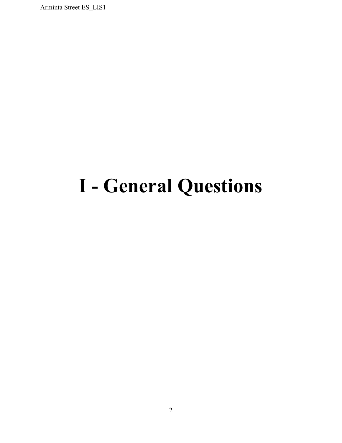## <span id="page-2-0"></span>**I General Questions**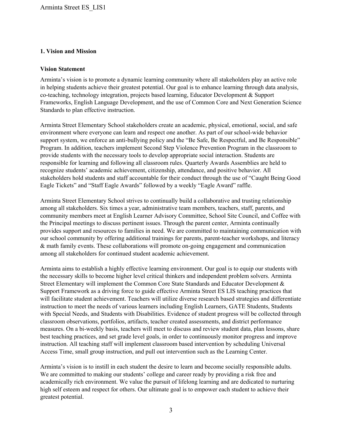#### <span id="page-3-0"></span>**1. Vision and Mission**

#### <span id="page-3-1"></span>**Vision Statement**

Arminta's vision is to promote a dynamic learning community where all stakeholders play an active role in helping students achieve their greatest potential. Our goal is to enhance learning through data analysis, co-teaching, technology integration, projects based learning, Educator Development & Support Frameworks, English Language Development, and the use of Common Core and Next Generation Science Standards to plan effective instruction.

Arminta Street Elementary School stakeholders create an academic, physical, emotional, social, and safe environment where everyone can learn and respect one another. As part of our school-wide behavior support system, we enforce an anti-bullying policy and the "Be Safe, Be Respectful, and Be Responsible" Program. In addition, teachers implement Second Step Violence Prevention Program in the classroom to provide students with the necessary tools to develop appropriate social interaction. Students are responsible for learning and following all classroom rules. Quarterly Awards Assemblies are held to recognize students' academic achievement, citizenship, attendance, and positive behavior. All stakeholders hold students and staff accountable for their conduct through the use of "Caught Being Good Eagle Tickets" and "Staff Eagle Awards" followed by a weekly "Eagle Award" raffle.

Arminta Street Elementary School strives to continually build a collaborative and trusting relationship among all stakeholders. Six times a year, administrative team members, teachers, staff, parents, and community members meet at English Learner Advisory Committee, School Site Council, and Coffee with the Principal meetings to discuss pertinent issues. Through the parent center, Arminta continually provides support and resources to families in need. We are committed to maintaining communication with our school community by offering additional trainings for parents, parent-teacher workshops, and literacy  $&$  math family events. These collaborations will promote on-going engagement and communication among all stakeholders for continued student academic achievement.

Arminta aims to establish a highly effective learning environment. Our goal is to equip our students with the necessary skills to become higher level critical thinkers and independent problem solvers. Arminta Street Elementary will implement the Common Core State Standards and Educator Development & Support Framework as a driving force to guide effective Arminta Street ES LIS teaching practices that will facilitate student achievement. Teachers will utilize diverse research based strategies and differentiate instruction to meet the needs of various learners including English Learners, GATE Students, Students with Special Needs, and Students with Disabilities. Evidence of student progress will be collected through classroom observations, portfolios, artifacts, teacher created assessments, and district performance measures. On a bi-weekly basis, teachers will meet to discuss and review student data, plan lessons, share best teaching practices, and set grade level goals, in order to continuously monitor progress and improve instruction. All teaching staff will implement classroom based intervention by scheduling Universal Access Time, small group instruction, and pull out intervention such as the Learning Center.

Arminta's vision is to instill in each student the desire to learn and become socially responsible adults. We are committed to making our students' college and career ready by providing a risk free and academically rich environment. We value the pursuit of lifelong learning and are dedicated to nurturing high self esteem and respect for others. Our ultimate goal is to empower each student to achieve their greatest potential.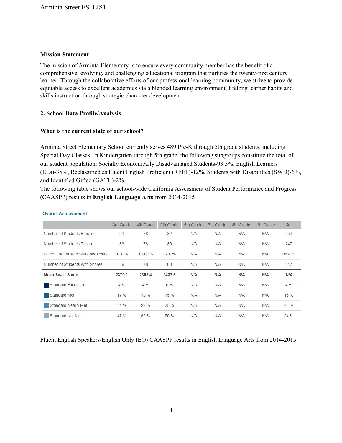#### <span id="page-4-0"></span>**Mission Statement**

The mission of Arminta Elementary is to ensure every community member has the benefit of a comprehensive, evolving, and challenging educational program that nurtures the twenty-first century learner. Through the collaborative efforts of our professional learning community, we strive to provide equitable access to excellent academics via a blended learning environment, lifelong learner habits and skills instruction through strategic character development.

#### <span id="page-4-2"></span><span id="page-4-1"></span>**2. School Data Profile/Analysis**

#### **What is the current state of our school?**

Arminta Street Elementary School currently serves 489 Pre-K through 5th grade students, including Special Day Classes. In Kindergarten through 5th grade, the following subgroups constitute the total of our student population: Socially Economically Disadvantaged Students-93.5%, English Learners (ELs)-35%, Reclassified as Fluent English Proficient (RFEP)-12%, Students with Disabilities (SWD)-6%, and Identified Gifted (GATE)-2%.

The following table shows our school-wide California Assessment of Student Performance and Progress (CAASPP) results in **English Language Arts**from 20142015

|                                     | 3rd Grade | 4th Grade | 5th Grade | 6th Grade  | 7th Grade  | 8th Grade | 11th Grade | All        |
|-------------------------------------|-----------|-----------|-----------|------------|------------|-----------|------------|------------|
| Number of Students Enrolled         | 91        | 78        | 82        | N/A        | N/A        | N/A       | N/A        | 251        |
| Number of Students Tested           | 89        | 78        | 80        | N/A        | N/A        | N/A       | N/A        | 247        |
| Percent of Enrolled Students Tested | 97.8%     | 100.0%    | 97.6%     | N/A        | N/A        | N/A       | N/A        | 98.4%      |
| Number of Students With Scores      | 89        | 78        | 80        | N/A        | N/A        | N/A       | N/A        | 247        |
| Mean Scale Score                    | 2370.1    | 2399.4    | 2437.8    | <b>N/A</b> | <b>N/A</b> | N/A       | <b>N/A</b> | <b>N/A</b> |
| Standard Exceeded                   | 4%        | 4%        | 5 %       | N/A        | N/A        | N/A       | N/A        | 4 %        |
| Standard Met                        | 17 %      | 13 %      | 15 %      | N/A        | N/A        | N/A       | N/A        | 15 %       |
| <b>Standard Nearly Met</b>          | 31%       | 22%       | 25%       | N/A        | N/A        | N/A       | N/A        | 26 %       |
| Standard Not Met                    | 47 %      | 62 %      | 55 %      | <b>N/A</b> | N/A        | N/A       | N/A        | 54 %       |

#### **Overall Achievement**

Fluent English Speakers/English Only (EO) CAASPP results in English Language Arts from 20142015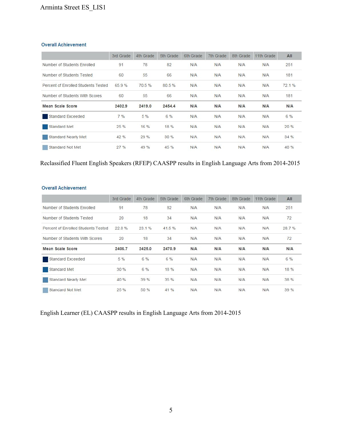#### **Overall Achievement**

|                                     | 3rd Grade | 4th Grade | 5th Grade | 6th Grade | 7th Grade | 8th Grade | 11th Grade | All        |
|-------------------------------------|-----------|-----------|-----------|-----------|-----------|-----------|------------|------------|
| Number of Students Enrolled         | 91        | 78        | 82        | N/A       | N/A       | N/A       | N/A        | 251        |
| Number of Students Tested           | 60        | 55        | 66        | N/A       | N/A       | N/A       | N/A        | 181        |
| Percent of Enrolled Students Tested | 65.9%     | 70.5%     | 80.5%     | N/A       | N/A       | N/A       | N/A        | 72.1%      |
| Number of Students With Scores      | 60        | 55        | 66        | N/A       | N/A       | N/A       | N/A        | 181        |
| <b>Mean Scale Score</b>             | 2402.9    | 2419.0    | 2454.4    | N/A       | N/A       | N/A       | N/A        | <b>N/A</b> |
| <b>Standard Exceeded</b>            | 7%        | 5%        | 6 %       | N/A       | N/A       | N/A       | N/A        | 6 %        |
| Standard Met                        | 25 %      | 16 %      | 18 %      | N/A       | N/A       | N/A       | N/A        | 20%        |
| Standard Nearly Met                 | 42 %      | 29%       | 30 %      | N/A       | N/A       | N/A       | N/A        | 34%        |
| Standard Not Met                    | 27%       | 49 %      | 45 %      | N/A       | N/A       | N/A       | N/A        | 40 %       |

#### Reclassified Fluent English Speakers (RFEP) CAASPP results in English Language Arts from 2014-2015

#### **Overall Achievement**

|                                     | 3rd Grade | 4th Grade | 5th Grade | 6th Grade | 7th Grade | 8th Grade | 11th Grade | AII   |
|-------------------------------------|-----------|-----------|-----------|-----------|-----------|-----------|------------|-------|
| Number of Students Enrolled         | 91        | 78        | 82        | N/A       | N/A       | N/A       | N/A        | 251   |
| Number of Students Tested           | 20        | 18        | 34        | N/A       | N/A       | N/A       | N/A        | 72    |
| Percent of Enrolled Students Tested | 22.0%     | 23.1%     | 41.5%     | N/A       | N/A       | N/A       | N/A        | 28.7% |
| Number of Students With Scores      | 20        | 18        | 34        | N/A       | N/A       | N/A       | N/A        | 72    |
| <b>Mean Scale Score</b>             | 2406.7    | 2425.0    | 2470.9    | N/A       | N/A       | N/A       | N/A        | N/A   |
| Standard Exceeded                   | 5 %       | 6%        | 6 %       | N/A       | N/A       | N/A       | N/A        | 6 %   |
| <b>Standard Met</b>                 | 30%       | 6 %       | 18 %      | N/A       | N/A       | N/A       | N/A        | 18 %  |
| Standard Nearly Met                 | 40 %      | 39 %      | 35%       | N/A       | N/A       | N/A       | N/A        | 38 %  |
| Standard Not Met                    | 25 %      | 50 %      | 41 %      | N/A       | N/A       | N/A       | N/A        | 39 %  |

English Learner (EL) CAASPP results in English Language Arts from 2014-2015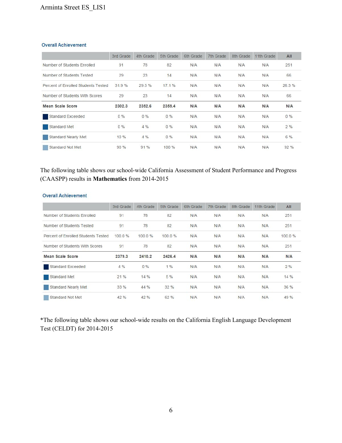#### **Overall Achievement**

|                                     | 3rd Grade | 4th Grade | 5th Grade | 6th Grade  | 7th Grade | 8th Grade | 11th Grade | All        |
|-------------------------------------|-----------|-----------|-----------|------------|-----------|-----------|------------|------------|
| Number of Students Enrolled         | 91        | 78        | 82        | N/A        | N/A       | N/A       | N/A        | 251        |
| Number of Students Tested           | 29        | 23        | 14        | N/A        | N/A       | N/A       | N/A        | 66         |
| Percent of Enrolled Students Tested | 31.9%     | 29.5%     | 17.1%     | N/A        | N/A       | N/A       | N/A        | 26.3%      |
| Number of Students With Scores      | 29        | 23        | 14        | N/A        | N/A       | N/A       | N/A        | 66         |
| Mean Scale Score                    | 2302.3    | 2352.6    | 2359.4    | <b>N/A</b> | N/A       | N/A       | N/A        | <b>N/A</b> |
| <b>Standard Exceeded</b>            | 0%        | $0\%$     | $0\%$     | <b>N/A</b> | N/A       | N/A       | N/A        | $0\%$      |
| Standard Met                        | $0\%$     | 4%        | 0%        | N/A        | N/A       | N/A       | N/A        | 2%         |
| Standard Nearly Met                 | 10 %      | 4%        | 0%        | N/A        | N/A       | N/A       | N/A        | 6 %        |
| Standard Not Met                    | 90%       | 91%       | 100%      | N/A        | N/A       | N/A       | N/A        | 92%        |

The following table shows our school-wide California Assessment of Student Performance and Progress (CAASPP) results in **Mathematics** from 2014-2015

| <b>Overall Achievement</b> |
|----------------------------|
|----------------------------|

|                                     | 3rd Grade | 4th Grade | 5th Grade | 6th Grade | 7th Grade | 8th Grade  | 11th Grade | All        |
|-------------------------------------|-----------|-----------|-----------|-----------|-----------|------------|------------|------------|
| Number of Students Enrolled         | 91        | 78        | 82        | N/A       | N/A       | N/A        | N/A        | 251        |
| Number of Students Tested           | 91        | 78        | 82        | N/A       | N/A       | N/A        | <b>N/A</b> | 251        |
| Percent of Enrolled Students Tested | 100.0%    | 100.0%    | 100.0%    | N/A       | N/A       | N/A        | N/A        | 100.0%     |
| Number of Students With Scores      | 91        | 78        | 82        | N/A       | N/A       | N/A        | N/A        | 251        |
| Mean Scale Score                    | 2379.3    | 2410.2    | 2426.4    | N/A       | N/A       | <b>N/A</b> | N/A        | <b>N/A</b> |
| <b>Standard Exceeded</b>            | 4 %       | $0\%$     | 1%        | N/A       | N/A       | N/A        | N/A        | 2%         |
| Standard Met                        | 21%       | 14 %      | 5 %       | N/A       | N/A       | N/A        | N/A        | 14 %       |
| Standard Nearly Met                 | 33%       | 44 %      | 32%       | N/A       | N/A       | N/A        | N/A        | 36 %       |
| Standard Not Met                    | 42%       | 42%       | 62 %      | N/A       | N/A       | N/A        | <b>N/A</b> | 49 %       |

\*The following table shows our school-wide results on the California English Language Development Test (CELDT) for 2014-2015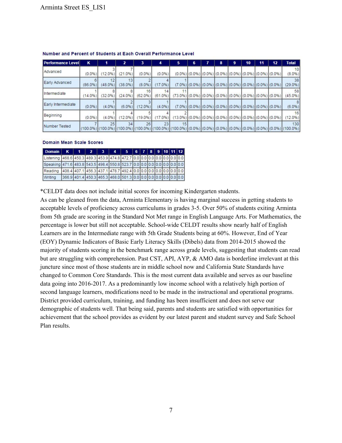| <b>Performance Level</b> | κ          |                            |               |                            | 4            | 5                                                                                          | 6 |                                                                                           | 8 | 9 | 10 | 11 | 12 | <b>Total</b>    |
|--------------------------|------------|----------------------------|---------------|----------------------------|--------------|--------------------------------------------------------------------------------------------|---|-------------------------------------------------------------------------------------------|---|---|----|----|----|-----------------|
| Advanced                 | $(0.0\%)$  | $(12.0\%)$                 | $(21.0\%)$    | $(0.0\%)$                  | (0.0%        |                                                                                            |   | $(0.0\%)$ $(0.0\%)$ $(0.0\%)$ $(0.0\%)$ $(0.0\%)$ $(0.0\%)$ $(0.0\%)$ $(0.0\%)$           |   |   |    |    |    | 10<br>$(8.0\%)$ |
| Early Advanced           | $(86.0\%)$ | (48.0%                     | $(38.0\%)$    | (8.0%)                     | $17.0\%$     |                                                                                            |   | $(7.0\%)$ $(0.0\%)$ $(0.0\%)$ $(0.0\%)$ $(0.0\%)$ $(0.0\%)$ $(0.0\%)$ $(0.0\%)$ $(0.0\%)$ |   |   |    |    |    | 38<br>(29.0%    |
| Intermediate             | $(14.0\%)$ | (32.0%)                    | (24.0%        | 16 <sub>1</sub><br>(62.0%) | 14<br>(61.0% | $(73.0\%)$ $(0.0\%)$ $(0.0\%)$ $(0.0\%)$ $(0.0\%)$ $(0.0\%)$ $(0.0\%)$ $(0.0\%)$ $(0.0\%)$ |   |                                                                                           |   |   |    |    |    | 58<br>(45.0%)   |
| Early Intermediate       | (0.0%      | (4.0%)                     | (6.0%         | $(12.0\%)$                 | (4.0%        |                                                                                            |   | (7.0%) (0.0%) (0.0%) (0.0%) (0.0%) (0.0%) (0.0%) (0.0%) (0.0%)                            |   |   |    |    |    | (6.0%)          |
| Beginning                | $(0.0\%)$  | $(4.0\%)$                  | 12.0%         | $(19.0\%)$                 | 17.0%)       | $(13.0\%)$ $(0.0\%)$ $(0.0\%)$ $(0.0\%)$ $(0.0\%)$ $(0.0\%)$ $(0.0\%)$ $(0.0\%)$           |   |                                                                                           |   |   |    |    |    | 16<br>(12.0%    |
| Number Tested            |            | 25<br>$(100.0\%)$ (100.0%) | 34<br>(100.0% | 26<br>$(100.0\%)$          | 23           | 15<br>100.0%) [(100.0%) [(0.0%) [(0.0%) [(0.0%) [(0.0%) [(0.0%)] (0.0%) [(0.0%)] (100.0%)  |   |                                                                                           |   |   |    |    |    | 130             |

#### Number and Percent of Students at Each Overall Performance Level

#### **Domain Mean Scale Scores**

| Domain K                                                                      |  | $\mathbf{z}$                                                        | $-3P$ | $-4$ | 5   6   7   8   9   10   11   12 |  |  |  |  |
|-------------------------------------------------------------------------------|--|---------------------------------------------------------------------|-------|------|----------------------------------|--|--|--|--|
| Listening 468.6 450.3 489.3 453.9 474.8 472.7 0.0 0.0 0.0 0.0 0.0 0.0 0.0 0.0 |  |                                                                     |       |      |                                  |  |  |  |  |
| Speaking 471.6 483.8 543.5 498.4 550.8 523.7 0.0 0.0 0.0 0.0 0.0 0.0 0.0      |  |                                                                     |       |      |                                  |  |  |  |  |
| Reading                                                                       |  | 408.4 407.1 456.3 437.1 478.7 492.4 0.0 0.0 0.0 0.0 0.0 0.0 0.0 0.0 |       |      |                                  |  |  |  |  |
| Writing                                                                       |  | 366.9 401.4 450.3 465.3 468.0 501.3 0.0 0.0 0.0 0.0 0.0 0.0 0.0     |       |      |                                  |  |  |  |  |

\*CELDT data does not include initial scores for incoming Kindergarten students.

As can be gleaned from the data, Arminta Elementary is having marginal success in getting students to acceptable levels of proficiency across curriculums in grades 35. Over 50% of students exiting Arminta from 5th grade are scoring in the Standard Not Met range in English Language Arts. For Mathematics, the percentage is lower but still not acceptable. School-wide CELDT results show nearly half of English Learners are in the Intermediate range with 5th Grade Students being at 60%. However, End of Year (EOY) Dynamic Indicators of Basic Early Literacy Skills (Dibels) data from 20142015 showed the majority of students scoring in the benchmark range across grade levels, suggesting that students can read but are struggling with comprehension. Past CST, API, AYP, & AMO data is borderline irrelevant at this juncture since most of those students are in middle school now and California State Standards have changed to Common Core Standards. This is the most current data available and serves as our baseline data going into 2016-2017. As a predominantly low income school with a relatively high portion of second language learners, modifications need to be made in the instructional and operational programs. District provided curriculum, training, and funding has been insufficient and does not serve our demographic of students well. That being said, parents and students are satisfied with opportunities for achievement that the school provides as evident by our latest parent and student survey and Safe School Plan results.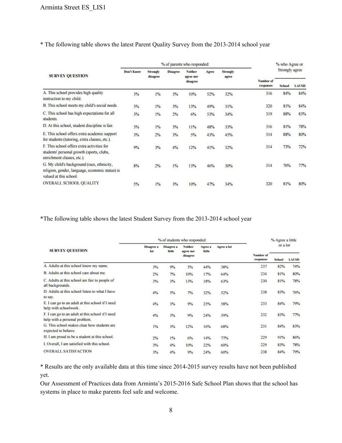#### \* The following table shows the latest Parent Quality Survey from the 20132014 school year

|                                                                                                                         |                   |                             |                 | % of parents who responded: |       |                          |                        | % who Agree or |              |
|-------------------------------------------------------------------------------------------------------------------------|-------------------|-----------------------------|-----------------|-----------------------------|-------|--------------------------|------------------------|----------------|--------------|
| <b>SURVEY QUESTION</b>                                                                                                  | <b>Don't Know</b> | <b>Strongly</b><br>disagree | <b>Disagree</b> | Neither<br>agree nor        | Agree | <b>Strongly</b><br>agree |                        | Strongly agree |              |
|                                                                                                                         |                   |                             |                 | disagree                    |       |                          | Number of<br>responses | <b>School</b>  | <b>LAUSD</b> |
| A. This school provides high quality<br>instruction to my child.                                                        | 3%                | 1%                          | 3%              | 10%                         | 52%   | 32%                      | 316                    | 84%            | 84%          |
| B. This school meets my child's social needs.                                                                           | 3%                | 1%                          | 3%              | 13%                         | 49%   | 31%                      | 320                    | 81%            | 84%          |
| C. This school has high expectations for all<br>students.                                                               | 3%                | 1%                          | 2%              | 6%                          | 53%   | 34%                      | 319                    | 88%            | 83%          |
| D. At this school, student discipline is fair.                                                                          | 3%                | 1%                          | 3%              | 11%                         | 48%   | 33%                      | 316                    | 81%            | 78%          |
| E. This school offers extra academic support<br>for students (tutoring, extra classes, etc.).                           | 3%                | 2%                          | 3%              | 5%                          | 43%   | 45%                      | 314                    | 88%            | 80%          |
| F. This school offers extra activities for<br>students' personal growth (sports, clubs,<br>enrichment classes, etc.).   | 9%                | 3%                          | 4%              | 12%                         | 41%   | 32%                      | 314                    | 73%            | 72%          |
| G. My child's background (race, ethnicity,<br>religion, gender, language, economic status) is<br>valued at this school. | 8%                | 2%                          | 1%              | 13%                         | 46%   | 30%                      | 314                    | 76%            | 77%          |
| <b>OVERALL SCHOOL QUALITY</b>                                                                                           | 5%                | 1%                          | 3%              | 10%                         | 47%   | 34%                      | 320                    | 81%            | 80%          |

\*The following table shows the latest Student Survey from the 2013-2014 school year

|                                                                                   |                   | % of students who responded: |                             |                   |             |                        | % Agree a little |       |
|-----------------------------------------------------------------------------------|-------------------|------------------------------|-----------------------------|-------------------|-------------|------------------------|------------------|-------|
| <b>SURVEY QUESTION</b>                                                            | Disagree a<br>lot | Disagree a<br>little         | <b>Neither</b><br>agree nor | Agree a<br>little | Agree a lot |                        | or a lot         |       |
|                                                                                   |                   |                              | disagree                    |                   |             | Number of<br>responses | <b>School</b>    | LAUSD |
| A. Adults at this school know my name.                                            | 3%                | 9%                           | 5%                          | 44%               | 38%         | 237                    | 82%              | 74%   |
| B. Adults at this school care about me.                                           | 2%                | 7%                           | 10%                         | 17%               | 64%         | 234                    | 81%              | 80%   |
| C. Adults at this school are fair to people of<br>all backgrounds.                | 3%                | 3%                           | 13%                         | 18%               | 63%         | 230                    | 81%              | 78%   |
| D. Adults at this school listen to what I have<br>to say.                         | 4%                | 5%                           | 7%                          | 32%               | 52%         | 238                    | 83%              | 76%   |
| E. I can go to an adult at this school if I need<br>help with schoolwork.         | 4%                | 3%                           | 9%                          | 25%               | 58%         | 233                    | 84%              | 79%   |
| F. I can go to an adult at this school if I need<br>help with a personal problem. | 4%                | 3%                           | 9%                          | 24%               | 59%         | 232                    | 83%              | 77%   |
| G. This school makes clear how students are<br>expected to behave.                | 1%                | 3%                           | 12%                         | 16%               | 68%         | 231                    | 84%              | 83%   |
| H. I am proud to be a student at this school.                                     | 2%                | $1\%$                        | 6%                          | 14%               | 77%         | 229                    | 91%              | 86%   |
| I. Overall, I am satisfied with this school.                                      | 3%                | 4%                           | 10%                         | 22%               | 60%         | 229                    | 83%              | 78%   |
| <b>OVERALL SATISFACTION</b>                                                       | 3%                | 4%                           | 9%                          | 24%               | 60%         | 238                    | 84%              | 79%   |

\* Results are the only available data at this time since 20142015 survey results have not been published yet.

Our Assessment of Practices data from Arminta's 2015-2016 Safe School Plan shows that the school has systems in place to make parents feel safe and welcome.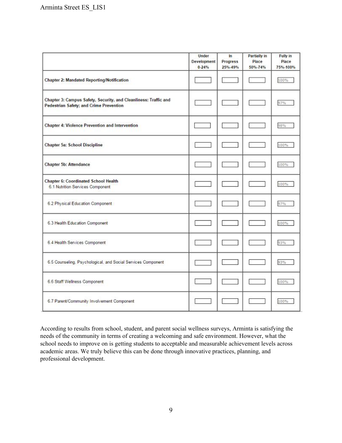|                                                                                                             | <b>Under</b><br>Development<br>$0 - 24%$ | In<br>Progress<br>25%-49% | Partially in<br>Place<br>50%-74% | Fully in<br>Place<br>75%-100% |
|-------------------------------------------------------------------------------------------------------------|------------------------------------------|---------------------------|----------------------------------|-------------------------------|
| Chapter 2: Mandated Reporting/Notification                                                                  |                                          |                           |                                  | 100%                          |
| Chapter 3: Campus Safety, Security, and Cleanliness: Traffic and<br>Pedestrian Safety; and Crime Prevention |                                          |                           |                                  | 97%                           |
| Chapter 4: Violence Prevention and Intervention                                                             |                                          |                           |                                  | 98%                           |
| <b>Chapter 5a: School Discipline</b>                                                                        |                                          |                           |                                  | 100%                          |
| <b>Chapter 5b: Attendance</b>                                                                               |                                          |                           |                                  | 100%                          |
| <b>Chapter 6: Coordinated School Health</b><br>6.1 Nutrition Services Component                             |                                          |                           |                                  | 100%                          |
| 6.2 Physical Education Component                                                                            |                                          |                           |                                  | 97%                           |
| 6.3 Health Education Component                                                                              |                                          |                           |                                  | 100%                          |
| 6.4 Health Services Component                                                                               |                                          |                           |                                  | 93%                           |
| 6.5 Counseling, Psychological, and Social Services Component                                                |                                          |                           |                                  | 93%                           |
| 6.6 Staff Wellness Component                                                                                |                                          |                           |                                  | 100%                          |
| 6.7 Parent/Community Involvement Component                                                                  |                                          |                           |                                  | 100%                          |

According to results from school, student, and parent social wellness surveys, Arminta is satisfying the needs of the community in terms of creating a welcoming and safe environment. However, what the school needs to improve on is getting students to acceptable and measurable achievement levels across academic areas. We truly believe this can be done through innovative practices, planning, and professional development.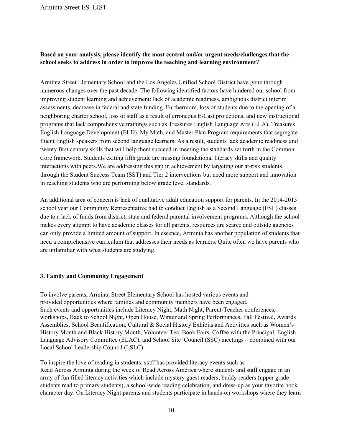#### **Based on your analysis, please identify the most central and/or urgent needs/challenges that the school seeks to address in order to improve the teaching and learning environment?**

Arminta Street Elementary School and the Los Angeles Unified School District have gone through numerous changes over the past decade. The following identified factors have hindered our school from improving student learning and achievement: lack of academic readiness, ambiguous district interim assessments, decrease in federal and state funding. Furthermore, loss of students due to the opening of a neighboring charter school, loss of staff as a result of erroneous ECast projections, and new instructional programs that lack comprehensive trainings such as Treasures English Language Arts (ELA), Treasures English Language Development (ELD), My Math, and Master Plan Program requirements that segregate fluent English speakers from second language learners. As a result, students lack academic readiness and twenty first century skills that will help them succeed in meeting the standards set forth in the Common Core framework. Students exiting fifth grade are missing foundational literacy skills and quality interactions with peers. We are addressing this gap in achievement by targeting our at-risk students through the Student Success Team (SST) and Tier 2 interventions but need more support and innovation in reaching students who are performing below grade level standards.

An additional area of concern is lack of qualitative adult education support for parents. In the 2014-2015 school year our Community Representative had to conduct English as a Second Language (ESL) classes due to a lack of funds from district, state and federal parental involvement programs. Although the school makes every attempt to have academic classes for all parents, resources are scarce and outside agencies can only provide a limited amount of support. In essence, Arminta has another population of students that need a comprehensive curriculum that addresses their needs as learners. Quite often we have parents who are unfamiliar with what students are studying.

#### <span id="page-10-0"></span>**3. Family and Community Engagement**

To involve parents, Arminta Street Elementary School has hosted various events and provided opportunities where families and community members have been engaged. Such events and opportunities include Literacy Night, Math Night, Parent-Teacher conferences, workshops, Back to School Night, Open House, Winter and Spring Performances, Fall Festival, Awards Assemblies, School Beautification, Cultural & Social History Exhibits and Activities such as Women's History Month and Black History Month, Volunteer Tea, Book Fairs, Coffee with the Principal, English Language Advisory Committee (ELAC), and School Site Council (SSC) meetings – combined with our Local School Leadership Council (LSLC).

To inspire the love of reading in students, staff has provided literacy events such as Read Across Arminta during the week of Read Across America where students and staff engage in an array of fun filled literacy activities which include mystery guest readers, buddy readers (upper grade students read to primary students), a school-wide reading celebration, and dress-up as your favorite book character day. On Literacy Night parents and students participate in hands-on workshops where they learn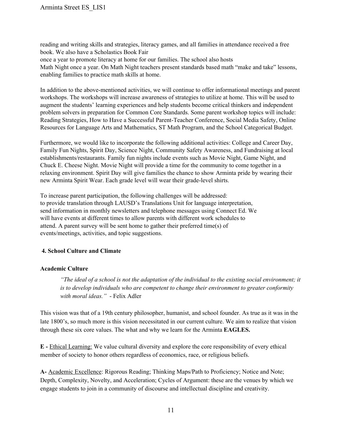reading and writing skills and strategies, literacy games, and all families in attendance received a free book. We also have a Scholastics Book Fair

once a year to promote literacy at home for our families. The school also hosts

Math Night once a year. On Math Night teachers present standards based math "make and take" lessons, enabling families to practice math skills at home.

In addition to the above-mentioned activities, we will continue to offer informational meetings and parent workshops. The workshops will increase awareness of strategies to utilize at home. This will be used to augment the students' learning experiences and help students become critical thinkers and independent problem solvers in preparation for Common Core Standards. Some parent workshop topics will include: Reading Strategies, How to Have a Successful Parent-Teacher Conference, Social Media Safety, Online Resources for Language Arts and Mathematics, ST Math Program, and the School Categorical Budget.

Furthermore, we would like to incorporate the following additional activities: College and Career Day, Family Fun Nights, Spirit Day, Science Night, Community Safety Awareness, and Fundraising at local establishments/restaurants. Family fun nights include events such as Movie Night, Game Night, and Chuck E. Cheese Night. Movie Night will provide a time for the community to come together in a relaxing environment. Spirit Day will give families the chance to show Arminta pride by wearing their new Arminta Spirit Wear. Each grade level will wear their grade-level shirts.

To increase parent participation, the following challenges will be addressed: to provide translation through LAUSD's Translations Unit for language interpretation, send information in monthly newsletters and telephone messages using Connect Ed. We will have events at different times to allow parents with different work schedules to attend. A parent survey will be sent home to gather their preferred time(s) of events/meetings, activities, and topic suggestions.

#### <span id="page-11-0"></span>**4. School Culture and Climate**

#### <span id="page-11-1"></span>**Academic Culture**

"The ideal of a school is not the adaptation of the individual to the existing social environment; it *is to develop individuals who are competent to change their environment to greater conformity with moral ideas.*" - Felix Adler

This vision was that of a 19th century philosopher, humanist, and school founder. As true as it was in the late 1800's, so much more is this vision necessitated in our current culture. We aim to realize that vision through these six core values. The what and why we learn for the Arminta **EAGLES.**

**E** Ethical Learning: We value cultural diversity and explore the core responsibility of every ethical member of society to honor others regardless of economics, race, or religious beliefs.

**A** Academic Excellence: Rigorous Reading; Thinking Maps/Path to Proficiency; Notice and Note; Depth, Complexity, Novelty, and Acceleration; Cycles of Argument: these are the venues by which we engage students to join in a community of discourse and intellectual discipline and creativity.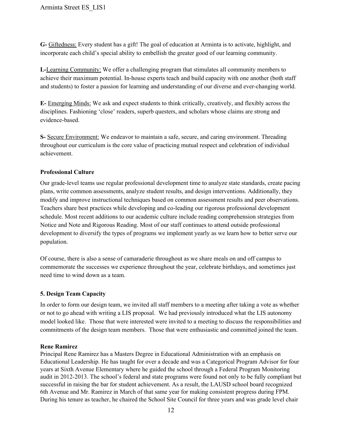**G** Giftedness: Every student has a gift! The goal of education at Arminta is to activate, highlight, and incorporate each child's special ability to embellish the greater good of our learning community.

**L**-Learning Community: We offer a challenging program that stimulates all community members to achieve their maximum potential. In-house experts teach and build capacity with one another (both staff and students) to foster a passion for learning and understanding of our diverse and everchanging world.

**E** Emerging Minds: We ask and expect students to think critically, creatively, and flexibly across the disciplines. Fashioning 'close' readers, superb questers, and scholars whose claims are strong and evidence-based.

**S** Secure Environment: We endeavor to maintain a safe, secure, and caring environment. Threading throughout our curriculum is the core value of practicing mutual respect and celebration of individual achievement.

#### <span id="page-12-0"></span>**Professional Culture**

Our gradelevel teams use regular professional development time to analyze state standards, create pacing plans, write common assessments, analyze student results, and design interventions. Additionally, they modify and improve instructional techniques based on common assessment results and peer observations. Teachers share best practices while developing and coleading our rigorous professional development schedule. Most recent additions to our academic culture include reading comprehension strategies from Notice and Note and Rigorous Reading. Most of our staff continues to attend outside professional development to diversify the types of programs we implement yearly as we learn how to better serve our population.

Of course, there is also a sense of camaraderie throughout as we share meals on and off campus to commemorate the successes we experience throughout the year, celebrate birthdays, and sometimes just need time to wind down as a team.

#### <span id="page-12-1"></span>**5. Design Team Capacity**

In order to form our design team, we invited all staff members to a meeting after taking a vote as whether or not to go ahead with writing a LIS proposal. We had previously introduced what the LIS autonomy model looked like. Those that were interested were invited to a meeting to discuss the responsibilities and commitments of the design team members. Those that were enthusiastic and committed joined the team.

#### **Rene Ramirez**

Principal Rene Ramirez has a Masters Degree in Educational Administration with an emphasis on Educational Leadership. He has taught for over a decade and was a Categorical Program Advisor for four years at Sixth Avenue Elementary where he guided the school through a Federal Program Monitoring audit in 2012-2013. The school's federal and state programs were found not only to be fully compliant but successful in raising the bar for student achievement. As a result, the LAUSD school board recognized 6th Avenue and Mr. Ramirez in March of that same year for making consistent progress during FPM. During his tenure as teacher, he chaired the School Site Council for three years and was grade level chair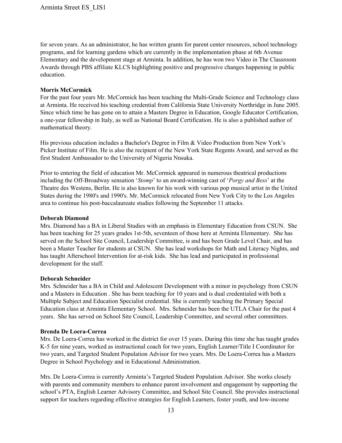for seven years. As an administrator, he has written grants for parent center resources, school technology programs, and for learning gardens which are currently in the implementation phase at 6th Avenue Elementary and the development stage at Arminta. In addition, he has won two Video in The Classroom Awards through PBS affiliate KLCS highlighting positive and progressive changes happening in public education.

#### **Morris McCormick**

For the past four years Mr. McCormick has been teaching the Multi-Grade Science and Technology class at Arminta. He received his teaching credential from California State University Northridge in June 2005. Since which time he has gone on to attain a Masters Degree in Education, Google Educator Certification, a one-year fellowship in Italy, as well as National Board Certification. He is also a published author of mathematical theory.

His previous education includes a Bachelor's Degree in Film & Video Production from New York's Picker Institute of Film. He is also the recipient of the New York State Regents Award, and served as the first Student Ambassador to the University of Nigeria Nnsuka.

Prior to entering the field of education Mr. McCormick appeared in numerous theatrical productions including the Off-Broadway sensation '*[Stomp](http://www.stomponline.com/home.html)*' to an award-winning cast of '*Porgy and Bess*' at the Theatre des Westens, Berlin. He is also known for his work with various pop musical artist in the United States during the 1980's and 1990's. Mr. McCormick relocated from New York City to the Los Angeles area to continue his post-baccalaureate studies following the September 11 attacks.

#### **Deborah Diamond**

Mrs. Diamond has a BA in Liberal Studies with an emphasis in Elementary Education from CSUN. She has been teaching for 25 years grades 1st-5th, seventeen of those here at Arminta Elementary. She has served on the School Site Council, Leadership Committee, is and has been Grade Level Chair, and has been a Master Teacher for students at CSUN. She has lead workshops for Math and Literacy Nights, and has taught Afterschool Intervention for at-risk kids. She has lead and participated in professional development for the staff.

#### **Deborah Schneider**

Mrs. Schneider has a BA in Child and Adolescent Development with a minor in psychology from CSUN and a Masters in Education . She has been teaching for 10 years and is dual credentialed with both a Multiple Subject and Education Specialist credential. She is currently teaching the Primary Special Education class at Arminta Elementary School. Mrs. Schneider has been the UTLA Chair for the past 4 years. She has served on School Site Council, Leadership Committee, and several other committees.

#### **Brenda De Loera-Correa**

Mrs. De Loera-Correa has worked in the district for over 15 years. During this time she has taught grades K-5 for nine years, worked as instructional coach for two years, English Learner/Title I Coordinator for two years, and Targeted Student Population Advisor for two years. Mrs. De Loera-Correa has a Masters Degree in School Psychology and in Educational Administration.

Mrs. De Loera-Correa is currently Arminta's Targeted Student Population Advisor. She works closely with parents and community members to enhance parent involvement and engagement by supporting the school's PTA, English Learner Advisory Committee, and School Site Council. She provides instructional support for teachers regarding effective strategies for English Learners, foster youth, and low-income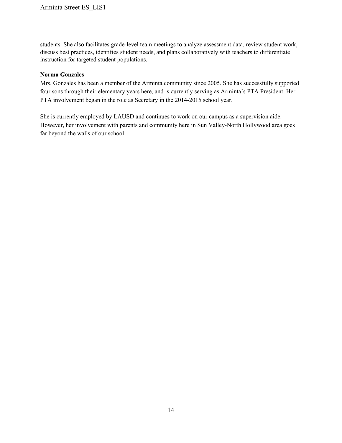students. She also facilitates grade-level team meetings to analyze assessment data, review student work, discuss best practices, identifies student needs, and plans collaboratively with teachers to differentiate instruction for targeted student populations.

#### **Norma Gonzales**

Mrs. Gonzales has been a member of the Arminta community since 2005. She has successfully supported four sons through their elementary years here, and is currently serving as Arminta's PTA President. Her PTA involvement began in the role as Secretary in the 2014-2015 school year.

She is currently employed by LAUSD and continues to work on our campus as a supervision aide. However, her involvement with parents and community here in Sun Valley-North Hollywood area goes far beyond the walls of our school.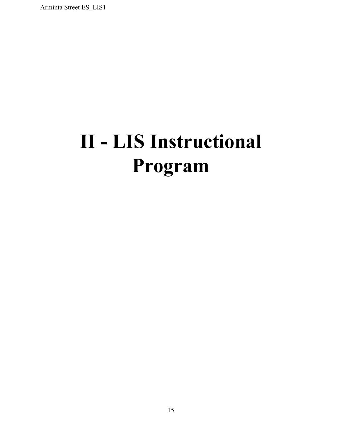# <span id="page-15-0"></span>**II LIS Instructional Program**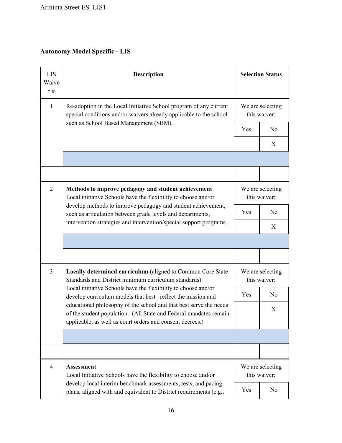#### <span id="page-16-0"></span>**Autonomy Model Specific LIS**

| <b>LIS</b><br>Waive<br>$r \#$ | <b>Description</b>                                                                                                                                                                                   |                                  | <b>Selection Status</b>          |  |  |  |
|-------------------------------|------------------------------------------------------------------------------------------------------------------------------------------------------------------------------------------------------|----------------------------------|----------------------------------|--|--|--|
| $\mathbf{1}$                  | Re-adoption in the Local Initiative School program of any current<br>special conditions and/or waivers already applicable to the school                                                              |                                  | We are selecting<br>this waiver: |  |  |  |
|                               | such as School Based Management (SBM).                                                                                                                                                               | Yes                              | N <sub>0</sub>                   |  |  |  |
|                               |                                                                                                                                                                                                      |                                  | X                                |  |  |  |
|                               |                                                                                                                                                                                                      |                                  |                                  |  |  |  |
|                               |                                                                                                                                                                                                      |                                  |                                  |  |  |  |
| $\overline{2}$                | Methods to improve pedagogy and student achievement<br>Local initiative Schools have the flexibility to choose and/or                                                                                |                                  | We are selecting<br>this waiver: |  |  |  |
|                               | develop methods to improve pedagogy and student achievement,<br>such as articulation between grade levels and departments,                                                                           | Yes                              | N <sub>o</sub>                   |  |  |  |
|                               | intervention strategies and intervention/special support programs.                                                                                                                                   |                                  | X                                |  |  |  |
|                               |                                                                                                                                                                                                      |                                  |                                  |  |  |  |
|                               |                                                                                                                                                                                                      |                                  |                                  |  |  |  |
| $\overline{3}$                | Locally determined curriculum (aligned to Common Core State<br>Standards and District minimum curriculum standards)                                                                                  |                                  | We are selecting<br>this waiver: |  |  |  |
|                               | Local initiative Schools have the flexibility to choose and/or<br>develop curriculum models that best reflect the mission and                                                                        | Yes                              | N <sub>o</sub>                   |  |  |  |
|                               | educational philosophy of the school and that best serve the needs<br>of the student population. (All State and Federal mandates remain<br>applicable, as well as court orders and consent decrees.) |                                  | X                                |  |  |  |
|                               |                                                                                                                                                                                                      |                                  |                                  |  |  |  |
|                               |                                                                                                                                                                                                      |                                  |                                  |  |  |  |
| $\overline{4}$                | <b>Assessment</b><br>Local Initiative Schools have the flexibility to choose and/or                                                                                                                  | We are selecting<br>this waiver: |                                  |  |  |  |
|                               | develop local interim benchmark assessments, tests, and pacing<br>plans, aligned with and equivalent to District requirements (e.g.,                                                                 | Yes                              | N <sub>0</sub>                   |  |  |  |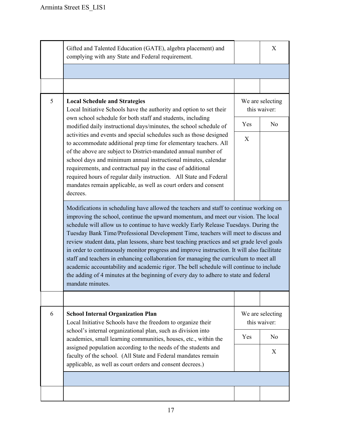|   | Gifted and Talented Education (GATE), algebra placement) and<br>complying with any State and Federal requirement.                                                                                                                                                                                                                                                                                                                                                                                                                                                                                                                                                                                                                                                                                                                                     |                                  | X              |
|---|-------------------------------------------------------------------------------------------------------------------------------------------------------------------------------------------------------------------------------------------------------------------------------------------------------------------------------------------------------------------------------------------------------------------------------------------------------------------------------------------------------------------------------------------------------------------------------------------------------------------------------------------------------------------------------------------------------------------------------------------------------------------------------------------------------------------------------------------------------|----------------------------------|----------------|
|   |                                                                                                                                                                                                                                                                                                                                                                                                                                                                                                                                                                                                                                                                                                                                                                                                                                                       |                                  |                |
|   |                                                                                                                                                                                                                                                                                                                                                                                                                                                                                                                                                                                                                                                                                                                                                                                                                                                       |                                  |                |
| 5 | <b>Local Schedule and Strategies</b><br>Local Initiative Schools have the authority and option to set their<br>own school schedule for both staff and students, including<br>modified daily instructional days/minutes, the school schedule of<br>activities and events and special schedules such as those designed<br>to accommodate additional prep time for elementary teachers. All<br>of the above are subject to District-mandated annual number of<br>school days and minimum annual instructional minutes, calendar<br>requirements, and contractual pay in the case of additional<br>required hours of regular daily instruction. All State and Federal<br>mandates remain applicable, as well as court orders and consent<br>decrees.                                                                                                      | We are selecting<br>this waiver: |                |
|   |                                                                                                                                                                                                                                                                                                                                                                                                                                                                                                                                                                                                                                                                                                                                                                                                                                                       | Yes                              | N <sub>o</sub> |
|   |                                                                                                                                                                                                                                                                                                                                                                                                                                                                                                                                                                                                                                                                                                                                                                                                                                                       | X                                |                |
|   | Modifications in scheduling have allowed the teachers and staff to continue working on<br>improving the school, continue the upward momentum, and meet our vision. The local<br>schedule will allow us to continue to have weekly Early Release Tuesdays. During the<br>Tuesday Bank Time/Professional Development Time, teachers will meet to discuss and<br>review student data, plan lessons, share best teaching practices and set grade level goals<br>in order to continuously monitor progress and improve instruction. It will also facilitate<br>staff and teachers in enhancing collaboration for managing the curriculum to meet all<br>academic accountability and academic rigor. The bell schedule will continue to include<br>the adding of 4 minutes at the beginning of every day to adhere to state and federal<br>mandate minutes. |                                  |                |
|   |                                                                                                                                                                                                                                                                                                                                                                                                                                                                                                                                                                                                                                                                                                                                                                                                                                                       |                                  |                |
| 6 | <b>School Internal Organization Plan</b><br>Local Initiative Schools have the freedom to organize their<br>school's internal organizational plan, such as division into<br>academies, small learning communities, houses, etc., within the<br>assigned population according to the needs of the students and<br>faculty of the school. (All State and Federal mandates remain<br>applicable, as well as court orders and consent decrees.)                                                                                                                                                                                                                                                                                                                                                                                                            | We are selecting<br>this waiver: |                |
|   |                                                                                                                                                                                                                                                                                                                                                                                                                                                                                                                                                                                                                                                                                                                                                                                                                                                       | Yes                              | No             |
|   |                                                                                                                                                                                                                                                                                                                                                                                                                                                                                                                                                                                                                                                                                                                                                                                                                                                       |                                  | X              |
|   |                                                                                                                                                                                                                                                                                                                                                                                                                                                                                                                                                                                                                                                                                                                                                                                                                                                       |                                  |                |
|   |                                                                                                                                                                                                                                                                                                                                                                                                                                                                                                                                                                                                                                                                                                                                                                                                                                                       |                                  |                |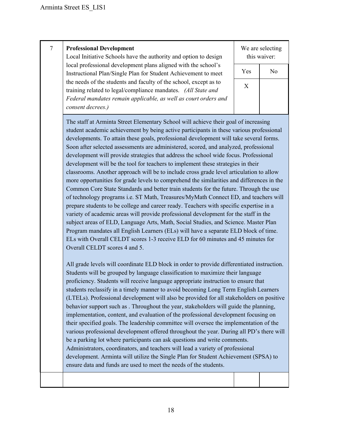#### 7 **Professional Development**

Local Initiative Schools have the authority and option to design local professional development plans aligned with the school's Instructional Plan/Single Plan for Student Achievement to meet the needs of the students and faculty of the school, except as to training related to legal/compliance mandates. *(All State and Federal mandates remain applicable, as well as court orders and consent decrees.)*

We are selecting this waiver:

| Yes          | No |
|--------------|----|
| $\mathbf{X}$ |    |
|              |    |

The staff at Arminta Street Elementary School will achieve their goal of increasing student academic achievement by being active participants in these various professional developments. To attain these goals, professional development will take several forms. Soon after selected assessments are administered, scored, and analyzed, professional development will provide strategies that address the school wide focus. Professional development will be the tool for teachers to implement these strategies in their classrooms. Another approach will be to include cross grade level articulation to allow more opportunities for grade levels to comprehend the similarities and differences in the Common Core State Standards and better train students for the future. Through the use of technology programs i.e. ST Math, Treasures/MyMath Connect ED, and teachers will prepare students to be college and career ready. Teachers with specific expertise in a variety of academic areas will provide professional development for the staff in the subject areas of ELD, Language Arts, Math, Social Studies, and Science. Master Plan Program mandates all English Learners (ELs) will have a separate ELD block of time. ELs with Overall CELDT scores 13 receive ELD for 60 minutes and 45 minutes for Overall CELDT scores 4 and 5.

All grade levels will coordinate ELD block in order to provide differentiated instruction. Students will be grouped by language classification to maximize their language proficiency. Students will receive language appropriate instruction to ensure that students reclassify in a timely manner to avoid becoming Long Term English Learners (LTELs). Professional development will also be provided for all stakeholders on positive behavior support such as . Throughout the year, stakeholders will guide the planning, implementation, content, and evaluation of the professional development focusing on their specified goals. The leadership committee will oversee the implementation of the various professional development offered throughout the year. During all PD's there will be a parking lot where participants can ask questions and write comments. Administrators, coordinators, and teachers will lead a variety of professional development. Arminta will utilize the Single Plan for Student Achievement (SPSA) to ensure data and funds are used to meet the needs of the students.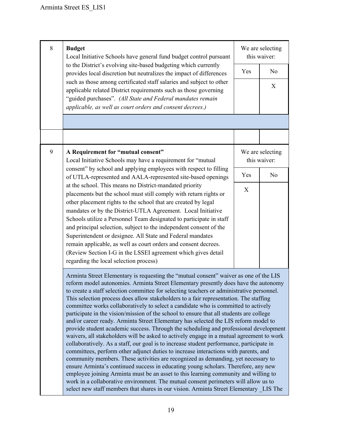| 8 | <b>Budget</b><br>Local Initiative Schools have general fund budget control pursuant                                                                                                                                                                                                                                                                                                                                                                                                                                                                                                                                                                                                                                                                                                                                                                                                                                                                                                                                                                                                                                                                                                                                                                                                                                                                                                                                                                                  |     | We are selecting<br>this waiver: |  |
|---|----------------------------------------------------------------------------------------------------------------------------------------------------------------------------------------------------------------------------------------------------------------------------------------------------------------------------------------------------------------------------------------------------------------------------------------------------------------------------------------------------------------------------------------------------------------------------------------------------------------------------------------------------------------------------------------------------------------------------------------------------------------------------------------------------------------------------------------------------------------------------------------------------------------------------------------------------------------------------------------------------------------------------------------------------------------------------------------------------------------------------------------------------------------------------------------------------------------------------------------------------------------------------------------------------------------------------------------------------------------------------------------------------------------------------------------------------------------------|-----|----------------------------------|--|
|   | to the District's evolving site-based budgeting which currently<br>provides local discretion but neutralizes the impact of differences                                                                                                                                                                                                                                                                                                                                                                                                                                                                                                                                                                                                                                                                                                                                                                                                                                                                                                                                                                                                                                                                                                                                                                                                                                                                                                                               | Yes | N <sub>0</sub>                   |  |
|   | such as those among certificated staff salaries and subject to other<br>applicable related District requirements such as those governing<br>"guided purchases". (All State and Federal mandates remain<br>applicable, as well as court orders and consent decrees.)                                                                                                                                                                                                                                                                                                                                                                                                                                                                                                                                                                                                                                                                                                                                                                                                                                                                                                                                                                                                                                                                                                                                                                                                  |     | X                                |  |
|   |                                                                                                                                                                                                                                                                                                                                                                                                                                                                                                                                                                                                                                                                                                                                                                                                                                                                                                                                                                                                                                                                                                                                                                                                                                                                                                                                                                                                                                                                      |     |                                  |  |
| 9 | A Requirement for "mutual consent"<br>Local Initiative Schools may have a requirement for "mutual                                                                                                                                                                                                                                                                                                                                                                                                                                                                                                                                                                                                                                                                                                                                                                                                                                                                                                                                                                                                                                                                                                                                                                                                                                                                                                                                                                    |     | We are selecting<br>this waiver: |  |
|   | consent" by school and applying employees with respect to filling<br>of UTLA-represented and AALA-represented site-based openings<br>at the school. This means no District-mandated priority<br>placements but the school must still comply with return rights or<br>other placement rights to the school that are created by legal<br>mandates or by the District-UTLA Agreement. Local Initiative<br>Schools utilize a Personnel Team designated to participate in staff<br>and principal selection, subject to the independent consent of the<br>Superintendent or designee. All State and Federal mandates<br>remain applicable, as well as court orders and consent decrees.<br>(Review Section I-G in the LSSEI agreement which gives detail<br>regarding the local selection process)                                                                                                                                                                                                                                                                                                                                                                                                                                                                                                                                                                                                                                                                         | Yes | N <sub>o</sub>                   |  |
|   |                                                                                                                                                                                                                                                                                                                                                                                                                                                                                                                                                                                                                                                                                                                                                                                                                                                                                                                                                                                                                                                                                                                                                                                                                                                                                                                                                                                                                                                                      | X   |                                  |  |
|   | Arminta Street Elementary is requesting the "mutual consent" waiver as one of the LIS<br>reform model autonomies. Arminta Street Elementary presently does have the autonomy<br>to create a staff selection committee for selecting teachers or administrative personnel.<br>This selection process does allow stakeholders to a fair representation. The staffing<br>committee works collaboratively to select a candidate who is committed to actively<br>participate in the vision/mission of the school to ensure that all students are college<br>and/or career ready. Arminta Street Elementary has selected the LIS reform model to<br>provide student academic success. Through the scheduling and professional development<br>waivers, all stakeholders will be asked to actively engage in a mutual agreement to work<br>collaboratively. As a staff, our goal is to increase student performance, participate in<br>committees, perform other adjunct duties to increase interactions with parents, and<br>community members. These activities are recognized as demanding, yet necessary to<br>ensure Arminta's continued success in educating young scholars. Therefore, any new<br>employee joining Arminta must be an asset to this learning community and willing to<br>work in a collaborative environment. The mutual consent perimeters will allow us to<br>select new staff members that shares in our vision. Arminta Street Elementary LIS The |     |                                  |  |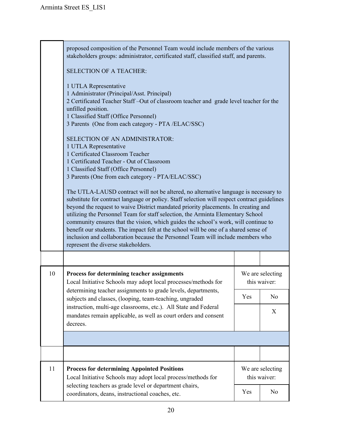|    | proposed composition of the Personnel Team would include members of the various<br>stakeholders groups: administrator, certificated staff, classified staff, and parents.                                                                                                                                                                                                                                                                                                                                                                                                                                                                                                                             |  |                                  |  |
|----|-------------------------------------------------------------------------------------------------------------------------------------------------------------------------------------------------------------------------------------------------------------------------------------------------------------------------------------------------------------------------------------------------------------------------------------------------------------------------------------------------------------------------------------------------------------------------------------------------------------------------------------------------------------------------------------------------------|--|----------------------------------|--|
|    | <b>SELECTION OF A TEACHER:</b>                                                                                                                                                                                                                                                                                                                                                                                                                                                                                                                                                                                                                                                                        |  |                                  |  |
|    | 1 UTLA Representative<br>1 Administrator (Principal/Asst. Principal)<br>2 Certificated Teacher Staff-Out of classroom teacher and grade level teacher for the<br>unfilled position.<br>1 Classified Staff (Office Personnel)<br>3 Parents (One from each category - PTA /ELAC/SSC)                                                                                                                                                                                                                                                                                                                                                                                                                    |  |                                  |  |
|    | <b>SELECTION OF AN ADMINISTRATOR:</b><br>1 UTLA Representative<br>1 Certificated Classroom Teacher<br>1 Certificated Teacher - Out of Classroom<br>1 Classified Staff (Office Personnel)<br>3 Parents (One from each category - PTA/ELAC/SSC)<br>The UTLA-LAUSD contract will not be altered, no alternative language is necessary to<br>substitute for contract language or policy. Staff selection will respect contract guidelines<br>beyond the request to waive District mandated priority placements. In creating and<br>utilizing the Personnel Team for staff selection, the Arminta Elementary School<br>community ensures that the vision, which guides the school's work, will continue to |  |                                  |  |
|    | benefit our students. The impact felt at the school will be one of a shared sense of<br>inclusion and collaboration because the Personnel Team will include members who<br>represent the diverse stakeholders.                                                                                                                                                                                                                                                                                                                                                                                                                                                                                        |  |                                  |  |
|    |                                                                                                                                                                                                                                                                                                                                                                                                                                                                                                                                                                                                                                                                                                       |  |                                  |  |
| 10 | Process for determining teacher assignments<br>Local Initiative Schools may adopt local processes/methods for<br>determining teacher assignments to grade levels, departments,<br>subjects and classes, (looping, team-teaching, ungraded                                                                                                                                                                                                                                                                                                                                                                                                                                                             |  | We are selecting<br>this waiver: |  |
|    |                                                                                                                                                                                                                                                                                                                                                                                                                                                                                                                                                                                                                                                                                                       |  | N <sub>0</sub>                   |  |
|    | instruction, multi-age classrooms, etc.). All State and Federal<br>mandates remain applicable, as well as court orders and consent<br>decrees.                                                                                                                                                                                                                                                                                                                                                                                                                                                                                                                                                        |  | X                                |  |
|    |                                                                                                                                                                                                                                                                                                                                                                                                                                                                                                                                                                                                                                                                                                       |  |                                  |  |
|    |                                                                                                                                                                                                                                                                                                                                                                                                                                                                                                                                                                                                                                                                                                       |  |                                  |  |
| 11 | <b>Process for determining Appointed Positions</b><br>Local Initiative Schools may adopt local process/methods for<br>selecting teachers as grade level or department chairs,<br>coordinators, deans, instructional coaches, etc.                                                                                                                                                                                                                                                                                                                                                                                                                                                                     |  | We are selecting<br>this waiver: |  |
|    |                                                                                                                                                                                                                                                                                                                                                                                                                                                                                                                                                                                                                                                                                                       |  | No                               |  |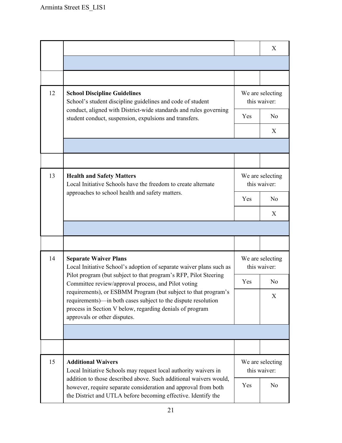|    |                                                                                                                                                                                                                                  |                                  | X                                |
|----|----------------------------------------------------------------------------------------------------------------------------------------------------------------------------------------------------------------------------------|----------------------------------|----------------------------------|
|    |                                                                                                                                                                                                                                  |                                  |                                  |
|    |                                                                                                                                                                                                                                  |                                  |                                  |
| 12 | <b>School Discipline Guidelines</b><br>School's student discipline guidelines and code of student<br>conduct, aligned with District-wide standards and rules governing<br>student conduct, suspension, expulsions and transfers. | We are selecting<br>this waiver: |                                  |
|    |                                                                                                                                                                                                                                  | Yes                              | N <sub>0</sub>                   |
|    |                                                                                                                                                                                                                                  |                                  | X                                |
|    |                                                                                                                                                                                                                                  |                                  |                                  |
|    |                                                                                                                                                                                                                                  |                                  |                                  |
| 13 | <b>Health and Safety Matters</b><br>Local Initiative Schools have the freedom to create alternate<br>approaches to school health and safety matters.                                                                             | We are selecting<br>this waiver: |                                  |
|    |                                                                                                                                                                                                                                  | Yes                              | N <sub>0</sub>                   |
|    |                                                                                                                                                                                                                                  |                                  | X                                |
|    |                                                                                                                                                                                                                                  |                                  |                                  |
|    |                                                                                                                                                                                                                                  |                                  |                                  |
| 14 | <b>Separate Waiver Plans</b><br>Local Initiative School's adoption of separate waiver plans such as                                                                                                                              | We are selecting<br>this waiver: |                                  |
|    | Pilot program (but subject to that program's RFP, Pilot Steering<br>Committee review/approval process, and Pilot voting                                                                                                          |                                  | N <sub>0</sub>                   |
|    | requirements), or ESBMM Program (but subject to that program's<br>requirements)—in both cases subject to the dispute resolution<br>process in Section V below, regarding denials of program<br>approvals or other disputes.      |                                  | X                                |
|    |                                                                                                                                                                                                                                  |                                  |                                  |
|    |                                                                                                                                                                                                                                  |                                  |                                  |
| 15 | <b>Additional Waivers</b><br>Local Initiative Schools may request local authority waivers in                                                                                                                                     |                                  | We are selecting<br>this waiver: |
|    | addition to those described above. Such additional waivers would,<br>however, require separate consideration and approval from both<br>the District and UTLA before becoming effective. Identify the                             | Yes                              | N <sub>0</sub>                   |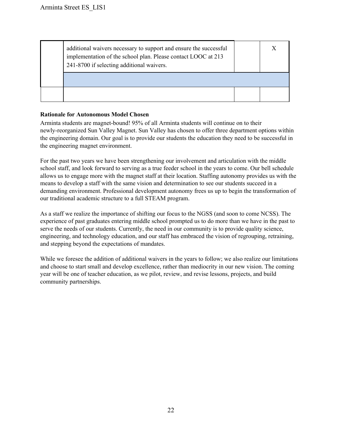| additional waivers necessary to support and ensure the successful<br>implementation of the school plan. Please contact LOOC at 213<br>241-8700 if selecting additional waivers. | Х |
|---------------------------------------------------------------------------------------------------------------------------------------------------------------------------------|---|
|                                                                                                                                                                                 |   |
|                                                                                                                                                                                 |   |

#### **Rationale for Autonomous Model Chosen**

Arminta students are magnet-bound! 95% of all Arminta students will continue on to their newlyreorganized Sun Valley Magnet. Sun Valley has chosen to offer three department options within the engineering domain. Our goal is to provide our students the education they need to be successful in the engineering magnet environment.

For the past two years we have been strengthening our involvement and articulation with the middle school staff, and look forward to serving as a true feeder school in the years to come. Our bell schedule allows us to engage more with the magnet staff at their location. Staffing autonomy provides us with the means to develop a staff with the same vision and determination to see our students succeed in a demanding environment. Professional development autonomy frees us up to begin the transformation of our traditional academic structure to a full STEAM program.

As a staff we realize the importance of shifting our focus to the NGSS (and soon to come NCSS). The experience of past graduates entering middle school prompted us to do more than we have in the past to serve the needs of our students. Currently, the need in our community is to provide quality science, engineering, and technology education, and our staff has embraced the vision of regrouping, retraining, and stepping beyond the expectations of mandates.

While we foresee the addition of additional waivers in the years to follow; we also realize our limitations and choose to start small and develop excellence, rather than mediocrity in our new vision. The coming year will be one of teacher education, as we pilot, review, and revise lessons, projects, and build community partnerships.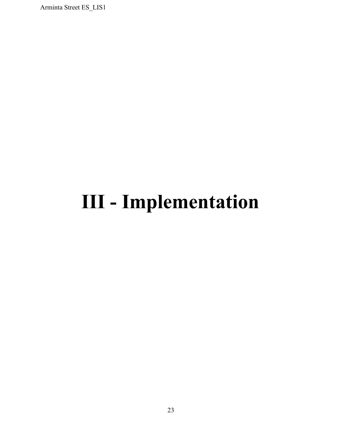## <span id="page-23-0"></span>**III Implementation**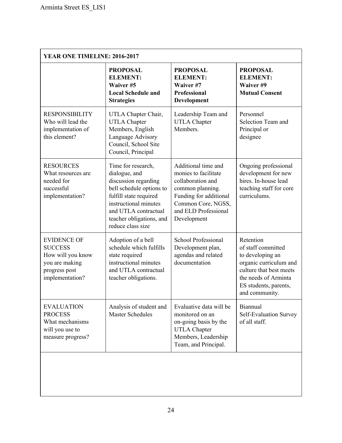| YEAR ONE TIMELINE: 2016-2017                                                                                    |                                                                                                                                                                                                                     |                                                                                                                                                                             |                                                                                                                                                                             |
|-----------------------------------------------------------------------------------------------------------------|---------------------------------------------------------------------------------------------------------------------------------------------------------------------------------------------------------------------|-----------------------------------------------------------------------------------------------------------------------------------------------------------------------------|-----------------------------------------------------------------------------------------------------------------------------------------------------------------------------|
|                                                                                                                 | <b>PROPOSAL</b><br><b>ELEMENT:</b><br>Waiver #5<br><b>Local Schedule and</b><br><b>Strategies</b>                                                                                                                   | <b>PROPOSAL</b><br><b>ELEMENT:</b><br>Waiver #7<br><b>Professional</b><br>Development                                                                                       | <b>PROPOSAL</b><br><b>ELEMENT:</b><br>Waiver #9<br><b>Mutual Consent</b>                                                                                                    |
| <b>RESPONSIBILITY</b><br>Who will lead the<br>implementation of<br>this element?                                | UTLA Chapter Chair,<br><b>UTLA Chapter</b><br>Members, English<br>Language Advisory<br>Council, School Site<br>Council, Principal                                                                                   | Leadership Team and<br><b>UTLA Chapter</b><br>Members.                                                                                                                      | Personnel<br>Selection Team and<br>Principal or<br>designee                                                                                                                 |
| <b>RESOURCES</b><br>What resources are<br>needed for<br>successful<br>implementation?                           | Time for research,<br>dialogue, and<br>discussion regarding<br>bell schedule options to<br>fulfill state required<br>instructional minutes<br>and UTLA contractual<br>teacher obligations, and<br>reduce class size | Additional time and<br>monies to facilitate<br>collaboration and<br>common planning.<br>Funding for additional<br>Common Core, NGSS,<br>and ELD Professional<br>Development | Ongoing professional<br>development for new<br>hires. In-house lead<br>teaching staff for core<br>curriculums.                                                              |
| <b>EVIDENCE OF</b><br><b>SUCCESS</b><br>How will you know<br>you are making<br>progress post<br>implementation? | Adoption of a bell<br>schedule which fulfills<br>state required<br>instructional minutes<br>and UTLA contractual<br>teacher obligations.                                                                            | <b>School Professional</b><br>Development plan,<br>agendas and related<br>documentation                                                                                     | Retention<br>of staff committed<br>to developing an<br>organic curriculum and<br>culture that best meets<br>the needs of Arminta<br>ES students, parents,<br>and community. |
| <b>EVALUATION</b><br><b>PROCESS</b><br>What mechanisms<br>will you use to<br>measure progress?                  | Analysis of student and<br><b>Master Schedules</b>                                                                                                                                                                  | Evaluative data will be<br>monitored on an<br>on-going basis by the<br><b>UTLA Chapter</b><br>Members, Leadership<br>Team, and Principal.                                   | Biannual<br>Self-Evaluation Survey<br>of all staff.                                                                                                                         |
|                                                                                                                 |                                                                                                                                                                                                                     |                                                                                                                                                                             |                                                                                                                                                                             |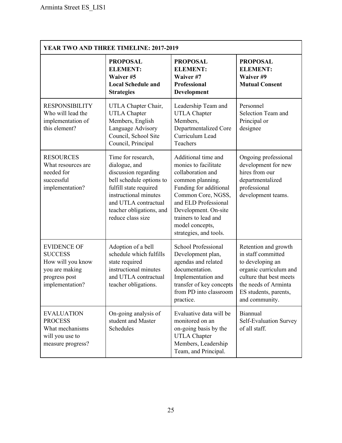| YEAR TWO AND THREE TIMELINE: 2017-2019                                                                          |                                                                                                                                                                                                                     |                                                                                                                                                                                                                                                           |                                                                                                                                                                                        |
|-----------------------------------------------------------------------------------------------------------------|---------------------------------------------------------------------------------------------------------------------------------------------------------------------------------------------------------------------|-----------------------------------------------------------------------------------------------------------------------------------------------------------------------------------------------------------------------------------------------------------|----------------------------------------------------------------------------------------------------------------------------------------------------------------------------------------|
|                                                                                                                 | <b>PROPOSAL</b><br><b>ELEMENT:</b><br>Waiver #5<br><b>Local Schedule and</b><br><b>Strategies</b>                                                                                                                   | <b>PROPOSAL</b><br><b>ELEMENT:</b><br>Waiver #7<br>Professional<br>Development                                                                                                                                                                            | <b>PROPOSAL</b><br><b>ELEMENT:</b><br>Waiver #9<br><b>Mutual Consent</b>                                                                                                               |
| <b>RESPONSIBILITY</b><br>Who will lead the<br>implementation of<br>this element?                                | UTLA Chapter Chair,<br><b>UTLA Chapter</b><br>Members, English<br>Language Advisory<br>Council, School Site<br>Council, Principal                                                                                   | Leadership Team and<br><b>UTLA Chapter</b><br>Members,<br>Departmentalized Core<br>Curriculum Lead<br>Teachers                                                                                                                                            | Personnel<br>Selection Team and<br>Principal or<br>designee                                                                                                                            |
| <b>RESOURCES</b><br>What resources are<br>needed for<br>successful<br>implementation?                           | Time for research,<br>dialogue, and<br>discussion regarding<br>bell schedule options to<br>fulfill state required<br>instructional minutes<br>and UTLA contractual<br>teacher obligations, and<br>reduce class size | Additional time and<br>monies to facilitate<br>collaboration and<br>common planning.<br>Funding for additional<br>Common Core, NGSS,<br>and ELD Professional<br>Development. On-site<br>trainers to lead and<br>model concepts,<br>strategies, and tools. | Ongoing professional<br>development for new<br>hires from our<br>departmentalized<br>professional<br>development teams.                                                                |
| <b>EVIDENCE OF</b><br><b>SUCCESS</b><br>How will you know<br>you are making<br>progress post<br>implementation? | Adoption of a bell<br>schedule which fulfills<br>state required<br>instructional minutes<br>and UTLA contractual<br>teacher obligations.                                                                            | School Professional<br>Development plan,<br>agendas and related<br>documentation.<br>Implementation and<br>transfer of key concepts<br>from PD into classroom<br>practice.                                                                                | Retention and growth<br>in staff committed<br>to developing an<br>organic curriculum and<br>culture that best meets<br>the needs of Arminta<br>ES students, parents,<br>and community. |
| <b>EVALUATION</b><br><b>PROCESS</b><br>What mechanisms<br>will you use to<br>measure progress?                  | On-going analysis of<br>student and Master<br>Schedules                                                                                                                                                             | Evaluative data will be<br>monitored on an<br>on-going basis by the<br><b>UTLA Chapter</b><br>Members, Leadership<br>Team, and Principal.                                                                                                                 | Biannual<br>Self-Evaluation Survey<br>of all staff.                                                                                                                                    |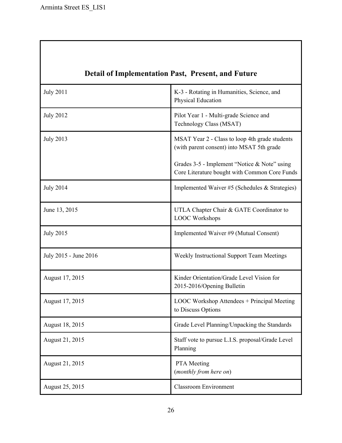$\mathbf l$ 

<span id="page-26-0"></span>

| <b>Detail of Implementation Past, Present, and Future</b> |                                                                                               |  |
|-----------------------------------------------------------|-----------------------------------------------------------------------------------------------|--|
| <b>July 2011</b>                                          | K-3 - Rotating in Humanities, Science, and<br>Physical Education                              |  |
| <b>July 2012</b>                                          | Pilot Year 1 - Multi-grade Science and<br>Technology Class (MSAT)                             |  |
| <b>July 2013</b>                                          | MSAT Year 2 - Class to loop 4th grade students<br>(with parent consent) into MSAT 5th grade   |  |
|                                                           | Grades 3-5 - Implement "Notice & Note" using<br>Core Literature bought with Common Core Funds |  |
| <b>July 2014</b>                                          | Implemented Waiver #5 (Schedules & Strategies)                                                |  |
| June 13, 2015                                             | UTLA Chapter Chair & GATE Coordinator to<br><b>LOOC</b> Workshops                             |  |
| <b>July 2015</b>                                          | Implemented Waiver #9 (Mutual Consent)                                                        |  |
| July 2015 - June 2016                                     | Weekly Instructional Support Team Meetings                                                    |  |
| August 17, 2015                                           | Kinder Orientation/Grade Level Vision for<br>2015-2016/Opening Bulletin                       |  |
| August 17, 2015                                           | LOOC Workshop Attendees + Principal Meeting<br>to Discuss Options                             |  |
| August 18, 2015                                           | Grade Level Planning/Unpacking the Standards                                                  |  |
| August 21, 2015                                           | Staff vote to pursue L.I.S. proposal/Grade Level<br>Planning                                  |  |
| August 21, 2015                                           | PTA Meeting<br>(monthly from here on)                                                         |  |
| August 25, 2015                                           | <b>Classroom Environment</b>                                                                  |  |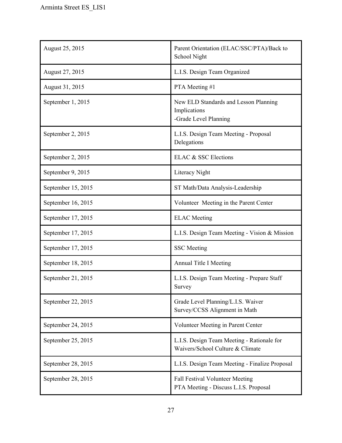| August 25, 2015    | Parent Orientation (ELAC/SSC/PTA)/Back to<br>School Night                       |
|--------------------|---------------------------------------------------------------------------------|
| August 27, 2015    | L.I.S. Design Team Organized                                                    |
| August 31, 2015    | PTA Meeting #1                                                                  |
| September 1, 2015  | New ELD Standards and Lesson Planning<br>Implications<br>-Grade Level Planning  |
| September 2, 2015  | L.I.S. Design Team Meeting - Proposal<br>Delegations                            |
| September 2, 2015  | ELAC & SSC Elections                                                            |
| September 9, 2015  | Literacy Night                                                                  |
| September 15, 2015 | ST Math/Data Analysis-Leadership                                                |
| September 16, 2015 | Volunteer Meeting in the Parent Center                                          |
| September 17, 2015 | <b>ELAC</b> Meeting                                                             |
| September 17, 2015 | L.I.S. Design Team Meeting - Vision & Mission                                   |
| September 17, 2015 | <b>SSC</b> Meeting                                                              |
| September 18, 2015 | <b>Annual Title I Meeting</b>                                                   |
| September 21, 2015 | L.I.S. Design Team Meeting - Prepare Staff<br>Survey                            |
| September 22, 2015 | Grade Level Planning/L.I.S. Waiver<br>Survey/CCSS Alignment in Math             |
| September 24, 2015 | Volunteer Meeting in Parent Center                                              |
| September 25, 2015 | L.I.S. Design Team Meeting - Rationale for<br>Waivers/School Culture & Climate  |
| September 28, 2015 | L.I.S. Design Team Meeting - Finalize Proposal                                  |
| September 28, 2015 | <b>Fall Festival Volunteer Meeting</b><br>PTA Meeting - Discuss L.I.S. Proposal |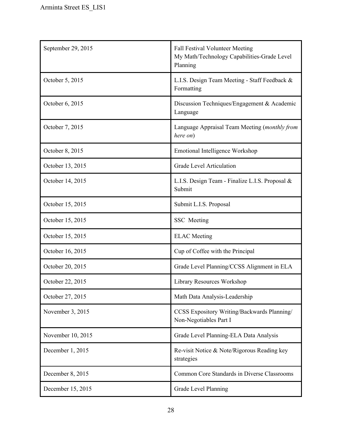| September 29, 2015 | <b>Fall Festival Volunteer Meeting</b><br>My Math/Technology Capabilities-Grade Level<br>Planning |
|--------------------|---------------------------------------------------------------------------------------------------|
| October 5, 2015    | L.I.S. Design Team Meeting - Staff Feedback &<br>Formatting                                       |
| October 6, 2015    | Discussion Techniques/Engagement & Academic<br>Language                                           |
| October 7, 2015    | Language Appraisal Team Meeting (monthly from<br>here on)                                         |
| October 8, 2015    | Emotional Intelligence Workshop                                                                   |
| October 13, 2015   | <b>Grade Level Articulation</b>                                                                   |
| October 14, 2015   | L.I.S. Design Team - Finalize L.I.S. Proposal &<br>Submit                                         |
| October 15, 2015   | Submit L.I.S. Proposal                                                                            |
| October 15, 2015   | SSC Meeting                                                                                       |
| October 15, 2015   | <b>ELAC</b> Meeting                                                                               |
| October 16, 2015   | Cup of Coffee with the Principal                                                                  |
| October 20, 2015   | Grade Level Planning/CCSS Alignment in ELA                                                        |
| October 22, 2015   | Library Resources Workshop                                                                        |
| October 27, 2015   | Math Data Analysis-Leadership                                                                     |
| November 3, 2015   | CCSS Expository Writing/Backwards Planning/<br>Non-Negotiables Part I                             |
| November 10, 2015  | Grade Level Planning-ELA Data Analysis                                                            |
| December 1, 2015   | Re-visit Notice & Note/Rigorous Reading key<br>strategies                                         |
| December 8, 2015   | Common Core Standards in Diverse Classrooms                                                       |
| December 15, 2015  | Grade Level Planning                                                                              |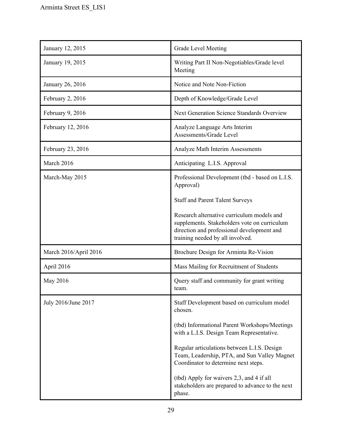| January 12, 2015      | Grade Level Meeting                                                                                                                                                          |
|-----------------------|------------------------------------------------------------------------------------------------------------------------------------------------------------------------------|
| January 19, 2015      | Writing Part II Non-Negotiables/Grade level<br>Meeting                                                                                                                       |
| January 26, 2016      | Notice and Note Non-Fiction                                                                                                                                                  |
| February 2, 2016      | Depth of Knowledge/Grade Level                                                                                                                                               |
| February 9, 2016      | <b>Next Generation Science Standards Overview</b>                                                                                                                            |
| February 12, 2016     | Analyze Language Arts Interim<br>Assessments/Grade Level                                                                                                                     |
| February 23, 2016     | Analyze Math Interim Assessments                                                                                                                                             |
| March 2016            | Anticipating L.I.S. Approval                                                                                                                                                 |
| March-May 2015        | Professional Development (tbd - based on L.I.S.<br>Approval)                                                                                                                 |
|                       | <b>Staff and Parent Talent Surveys</b>                                                                                                                                       |
|                       | Research alternative curriculum models and<br>supplements. Stakeholders vote on curriculum<br>direction and professional development and<br>training needed by all involved. |
| March 2016/April 2016 | Brochure Design for Arminta Re-Vision                                                                                                                                        |
| April 2016            | Mass Mailing for Recruitment of Students                                                                                                                                     |
| May 2016              | Query staff and community for grant writing<br>team.                                                                                                                         |
| July 2016/June 2017   | Staff Development based on curriculum model<br>chosen.                                                                                                                       |
|                       | (tbd) Informational Parent Workshops/Meetings<br>with a L.I.S. Design Team Representative.                                                                                   |
|                       | Regular articulations between L.I.S. Design<br>Team, Leadership, PTA, and Sun Valley Magnet<br>Coordinator to determine next steps.                                          |
|                       | (tbd) Apply for waivers 2,3, and 4 if all<br>stakeholders are prepared to advance to the next<br>phase.                                                                      |